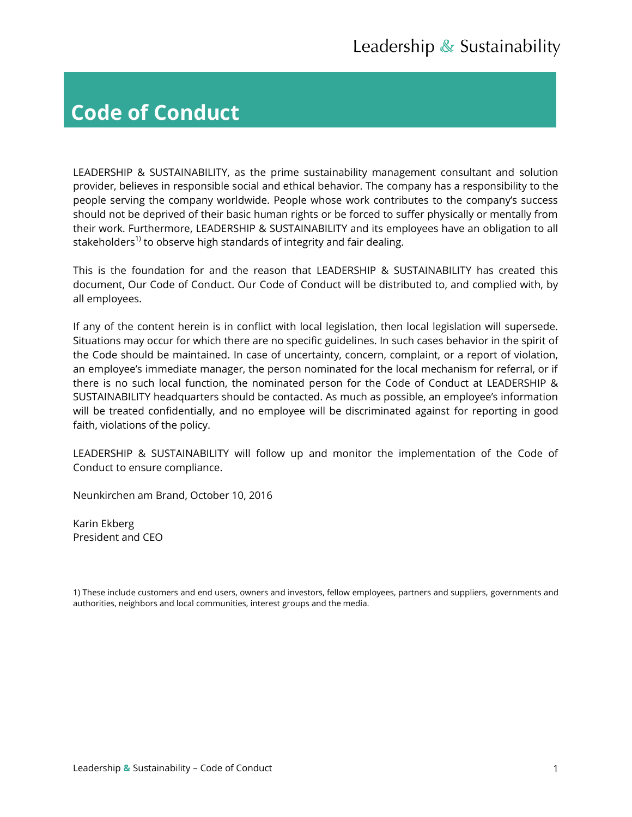# **Code of Conduct**

LEADERSHIP & SUSTAINABILITY, as the prime sustainability management consultant and solution provider, believes in responsible social and ethical behavior. The company has a responsibility to the people serving the company worldwide. People whose work contributes to the company's success should not be deprived of their basic human rights or be forced to suffer physically or mentally from their work. Furthermore, LEADERSHIP & SUSTAINABILITY and its employees have an obligation to all stakeholders<sup>1)</sup> to observe high standards of integrity and fair dealing.

This is the foundation for and the reason that LEADERSHIP & SUSTAINABILITY has created this document, Our Code of Conduct. Our Code of Conduct will be distributed to, and complied with, by all employees.

If any of the content herein is in conflict with local legislation, then local legislation will supersede. Situations may occur for which there are no specific guidelines. In such cases behavior in the spirit of the Code should be maintained. In case of uncertainty, concern, complaint, or a report of violation, an employee's immediate manager, the person nominated for the local mechanism for referral, or if there is no such local function, the nominated person for the Code of Conduct at LEADERSHIP & SUSTAINABILITY headquarters should be contacted. As much as possible, an employee's information will be treated confidentially, and no employee will be discriminated against for reporting in good faith, violations of the policy.

LEADERSHIP & SUSTAINABILITY will follow up and monitor the implementation of the Code of Conduct to ensure compliance.

Neunkirchen am Brand, October 10, 2016

Karin Ekberg President and CEO

<sup>1)</sup> These include customers and end users, owners and investors, fellow employees, partners and suppliers, governments and authorities, neighbors and local communities, interest groups and the media.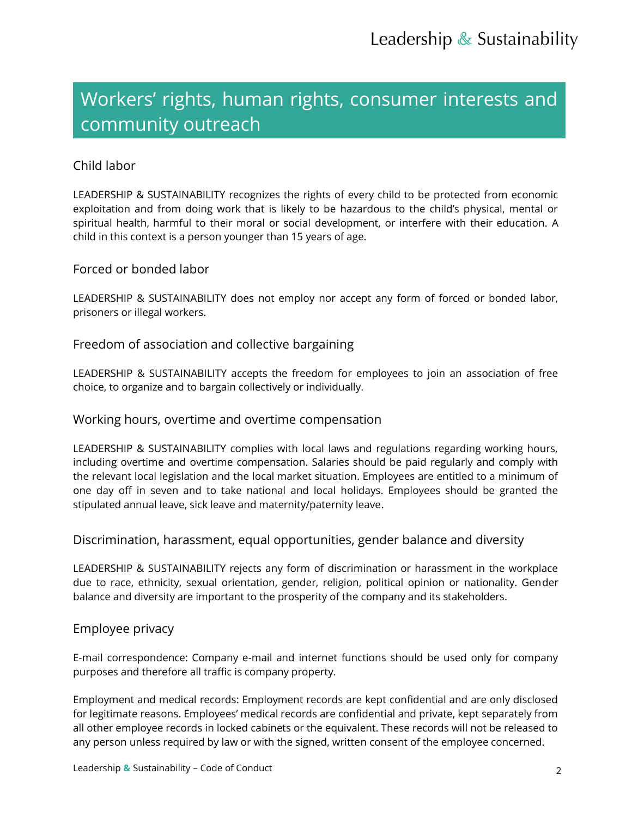# Workers' rights, human rights, consumer interests and community outreach

### Child labor

LEADERSHIP & SUSTAINABILITY recognizes the rights of every child to be protected from economic exploitation and from doing work that is likely to be hazardous to the child's physical, mental or spiritual health, harmful to their moral or social development, or interfere with their education. A child in this context is a person younger than 15 years of age.

### Forced or bonded labor

LEADERSHIP & SUSTAINABILITY does not employ nor accept any form of forced or bonded labor, prisoners or illegal workers.

### Freedom of association and collective bargaining

LEADERSHIP & SUSTAINABILITY accepts the freedom for employees to join an association of free choice, to organize and to bargain collectively or individually.

### Working hours, overtime and overtime compensation

LEADERSHIP & SUSTAINABILITY complies with local laws and regulations regarding working hours, including overtime and overtime compensation. Salaries should be paid regularly and comply with the relevant local legislation and the local market situation. Employees are entitled to a minimum of one day off in seven and to take national and local holidays. Employees should be granted the stipulated annual leave, sick leave and maternity/paternity leave.

### Discrimination, harassment, equal opportunities, gender balance and diversity

LEADERSHIP & SUSTAINABILITY rejects any form of discrimination or harassment in the workplace due to race, ethnicity, sexual orientation, gender, religion, political opinion or nationality. Gender balance and diversity are important to the prosperity of the company and its stakeholders.

### Employee privacy

E-mail correspondence: Company e-mail and internet functions should be used only for company purposes and therefore all traffic is company property.

Employment and medical records: Employment records are kept confidential and are only disclosed for legitimate reasons. Employees' medical records are confidential and private, kept separately from all other employee records in locked cabinets or the equivalent. These records will not be released to any person unless required by law or with the signed, written consent of the employee concerned.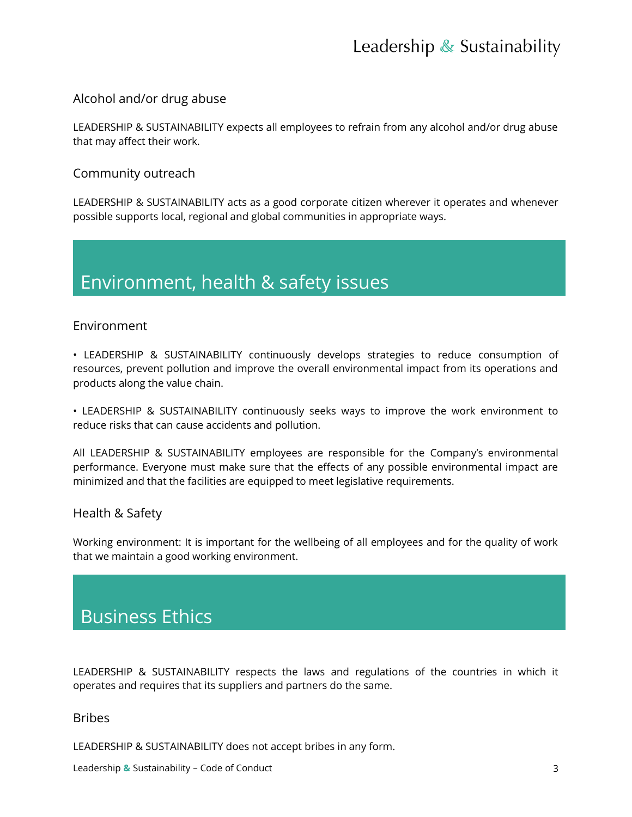# Leadership  $\&$  Sustainability

### Alcohol and/or drug abuse

LEADERSHIP & SUSTAINABILITY expects all employees to refrain from any alcohol and/or drug abuse that may affect their work.

### Community outreach

LEADERSHIP & SUSTAINABILITY acts as a good corporate citizen wherever it operates and whenever possible supports local, regional and global communities in appropriate ways.

## Environment, health & safety issues

### Environment

• LEADERSHIP & SUSTAINABILITY continuously develops strategies to reduce consumption of resources, prevent pollution and improve the overall environmental impact from its operations and products along the value chain.

• LEADERSHIP & SUSTAINABILITY continuously seeks ways to improve the work environment to reduce risks that can cause accidents and pollution.

All LEADERSHIP & SUSTAINABILITY employees are responsible for the Company's environmental performance. Everyone must make sure that the effects of any possible environmental impact are minimized and that the facilities are equipped to meet legislative requirements.

### Health & Safety

Working environment: It is important for the wellbeing of all employees and for the quality of work that we maintain a good working environment.

## Business Ethics

LEADERSHIP & SUSTAINABILITY respects the laws and regulations of the countries in which it operates and requires that its suppliers and partners do the same.

### Bribes

LEADERSHIP & SUSTAINABILITY does not accept bribes in any form.

Leadership **&** Sustainability – Code of Conduct 3